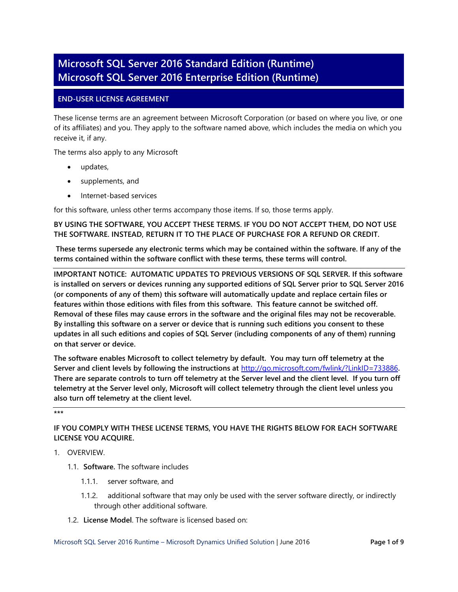# **Microsoft SQL Server 2016 Standard Edition (Runtime) Microsoft SQL Server 2016 Enterprise Edition (Runtime)**

# **END-USER LICENSE AGREEMENT**

These license terms are an agreement between Microsoft Corporation (or based on where you live, or one of its affiliates) and you. They apply to the software named above, which includes the media on which you receive it, if any.

The terms also apply to any Microsoft

- updates,
- supplements, and
- Internet-based services

for this software, unless other terms accompany those items. If so, those terms apply.

**BY USING THE SOFTWARE, YOU ACCEPT THESE TERMS. IF YOU DO NOT ACCEPT THEM, DO NOT USE THE SOFTWARE. INSTEAD, RETURN IT TO THE PLACE OF PURCHASE FOR A REFUND OR CREDIT.** 

**These terms supersede any electronic terms which may be contained within the software. If any of the terms contained within the software conflict with these terms, these terms will control.** 

**IMPORTANT NOTICE: AUTOMATIC UPDATES TO PREVIOUS VERSIONS OF SQL SERVER. If this software is installed on servers or devices running any supported editions of SQL Server prior to SQL Server 2016 (or components of any of them) this software will automatically update and replace certain files or features within those editions with files from this software. This feature cannot be switched off. Removal of these files may cause errors in the software and the original files may not be recoverable. By installing this software on a server or device that is running such editions you consent to these updates in all such editions and copies of SQL Server (including components of any of them) running on that server or device.** 

**The software enables Microsoft to collect telemetry by default. You may turn off telemetry at the Server and client levels by following the instructions at** <http://go.microsoft.com/fwlink/?LinkID=733886>**. There are separate controls to turn off telemetry at the Server level and the client level. If you turn off telemetry at the Server level only, Microsoft will collect telemetry through the client level unless you also turn off telemetry at the client level.**

**\*\*\***

# **IF YOU COMPLY WITH THESE LICENSE TERMS, YOU HAVE THE RIGHTS BELOW FOR EACH SOFTWARE LICENSE YOU ACQUIRE.**

# 1. OVERVIEW.

- 1.1. **Software.** The software includes
	- 1.1.1. server software, and
	- 1.1.2. additional software that may only be used with the server software directly, or indirectly through other additional software.
- 1.2. **License Model**. The software is licensed based on: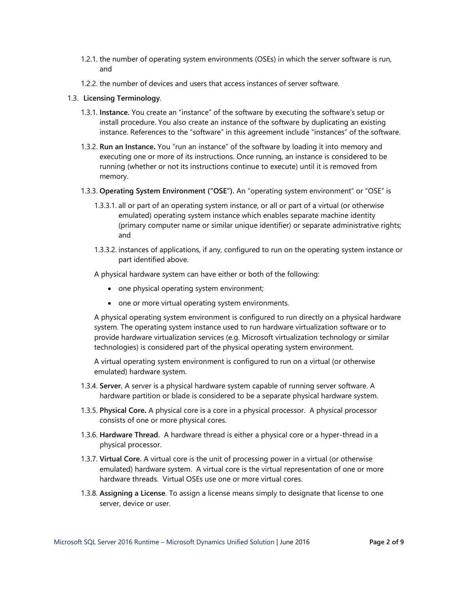- 1.2.1. the number of operating system environments (OSEs) in which the server software is run, and
- 1.2.2. the number of devices and users that access instances of server software.

## 1.3. **Licensing Terminology**.

- 1.3.1. **Instance.** You create an "instance" of the software by executing the software's setup or install procedure. You also create an instance of the software by duplicating an existing instance. References to the "software" in this agreement include "instances" of the software.
- 1.3.2. **Run an Instance.** You "run an instance" of the software by loading it into memory and executing one or more of its instructions. Once running, an instance is considered to be running (whether or not its instructions continue to execute) until it is removed from memory.
- 1.3.3. **Operating System Environment ("OSE").** An "operating system environment" or "OSE" is
	- 1.3.3.1. all or part of an operating system instance, or all or part of a virtual (or otherwise emulated) operating system instance which enables separate machine identity (primary computer name or similar unique identifier) or separate administrative rights; and
	- 1.3.3.2. instances of applications, if any, configured to run on the operating system instance or part identified above.

A physical hardware system can have either or both of the following:

- one physical operating system environment;
- one or more virtual operating system environments.

A physical operating system environment is configured to run directly on a physical hardware system. The operating system instance used to run hardware virtualization software or to provide hardware virtualization services (e.g. Microsoft virtualization technology or similar technologies) is considered part of the physical operating system environment.

A virtual operating system environment is configured to run on a virtual (or otherwise emulated) hardware system.

- 1.3.4. **Server.** A server is a physical hardware system capable of running server software. A hardware partition or blade is considered to be a separate physical hardware system.
- 1.3.5. **Physical Core.** A physical core is a core in a physical processor. A physical processor consists of one or more physical cores.
- 1.3.6. **Hardware Thread**. A hardware thread is either a physical core or a hyper-thread in a physical processor.
- 1.3.7. **Virtual Core.** A virtual core is the unit of processing power in a virtual (or otherwise emulated) hardware system. A virtual core is the virtual representation of one or more hardware threads. Virtual OSEs use one or more virtual cores.
- 1.3.8. **Assigning a License**. To assign a license means simply to designate that license to one server, device or user.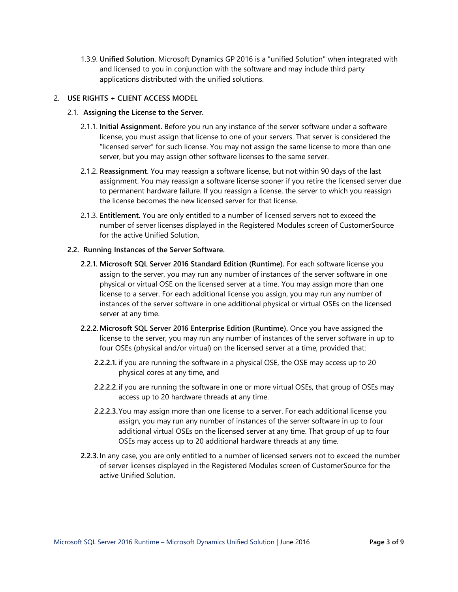1.3.9. **Unified Solution**. Microsoft Dynamics GP 2016 is a "unified Solution" when integrated with and licensed to you in conjunction with the software and may include third party applications distributed with the unified solutions.

# 2. **USE RIGHTS + CLIENT ACCESS MODEL**

### 2.1. **Assigning the License to the Server.**

- 2.1.1. **Initial Assignment.** Before you run any instance of the server software under a software license, you must assign that license to one of your servers. That server is considered the "licensed server" for such license. You may not assign the same license to more than one server, but you may assign other software licenses to the same server.
- 2.1.2. **Reassignment**. You may reassign a software license, but not within 90 days of the last assignment. You may reassign a software license sooner if you retire the licensed server due to permanent hardware failure. If you reassign a license, the server to which you reassign the license becomes the new licensed server for that license.
- 2.1.3. **Entitlement.** You are only entitled to a number of licensed servers not to exceed the number of server licenses displayed in the Registered Modules screen of CustomerSource for the active Unified Solution.

### **2.2. Running Instances of the Server Software.**

- **2.2.1. Microsoft SQL Server 2016 Standard Edition (Runtime).** For each software license you assign to the server, you may run any number of instances of the server software in one physical or virtual OSE on the licensed server at a time. You may assign more than one license to a server. For each additional license you assign, you may run any number of instances of the server software in one additional physical or virtual OSEs on the licensed server at any time.
- **2.2.2.Microsoft SQL Server 2016 Enterprise Edition (Runtime).** Once you have assigned the license to the server, you may run any number of instances of the server software in up to four OSEs (physical and/or virtual) on the licensed server at a time, provided that:
	- **2.2.2.1.** if you are running the software in a physical OSE, the OSE may access up to 20 physical cores at any time, and
	- **2.2.2.2.**if you are running the software in one or more virtual OSEs, that group of OSEs may access up to 20 hardware threads at any time.
	- **2.2.2.3.**You may assign more than one license to a server. For each additional license you assign, you may run any number of instances of the server software in up to four additional virtual OSEs on the licensed server at any time. That group of up to four OSEs may access up to 20 additional hardware threads at any time.
- **2.2.3.** In any case, you are only entitled to a number of licensed servers not to exceed the number of server licenses displayed in the Registered Modules screen of CustomerSource for the active Unified Solution.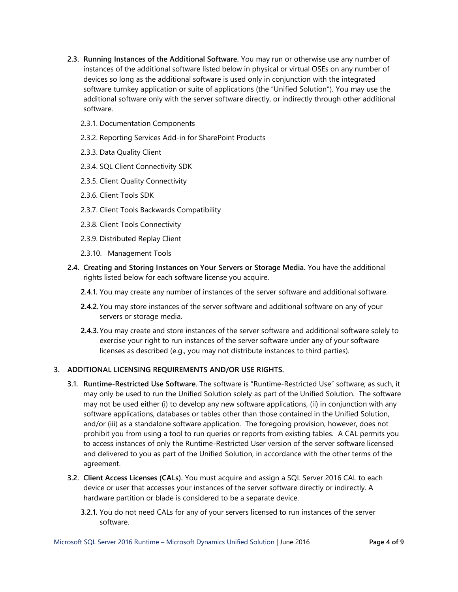- **2.3. Running Instances of the Additional Software.** You may run or otherwise use any number of instances of the additional software listed below in physical or virtual OSEs on any number of devices so long as the additional software is used only in conjunction with the integrated software turnkey application or suite of applications (the "Unified Solution"). You may use the additional software only with the server software directly, or indirectly through other additional software.
	- 2.3.1. Documentation Components
	- 2.3.2. Reporting Services Add-in for SharePoint Products
	- 2.3.3. Data Quality Client
	- 2.3.4. SQL Client Connectivity SDK
	- 2.3.5. Client Quality Connectivity
	- 2.3.6. Client Tools SDK
	- 2.3.7. Client Tools Backwards Compatibility
	- 2.3.8. Client Tools Connectivity
	- 2.3.9. Distributed Replay Client
	- 2.3.10. Management Tools
- **2.4. Creating and Storing Instances on Your Servers or Storage Media.** You have the additional rights listed below for each software license you acquire.
	- **2.4.1.** You may create any number of instances of the server software and additional software.
	- **2.4.2.**You may store instances of the server software and additional software on any of your servers or storage media.
	- **2.4.3.**You may create and store instances of the server software and additional software solely to exercise your right to run instances of the server software under any of your software licenses as described (e.g., you may not distribute instances to third parties).

## **3. ADDITIONAL LICENSING REQUIREMENTS AND/OR USE RIGHTS.**

- **3.1. Runtime-Restricted Use Software**. The software is "Runtime-Restricted Use" software; as such, it may only be used to run the Unified Solution solely as part of the Unified Solution. The software may not be used either (i) to develop any new software applications, (ii) in conjunction with any software applications, databases or tables other than those contained in the Unified Solution, and/or (iii) as a standalone software application. The foregoing provision, however, does not prohibit you from using a tool to run queries or reports from existing tables. A CAL permits you to access instances of only the Runtime-Restricted User version of the server software licensed and delivered to you as part of the Unified Solution, in accordance with the other terms of the agreement.
- **3.2. Client Access Licenses (CALs).** You must acquire and assign a SQL Server 2016 CAL to each device or user that accesses your instances of the server software directly or indirectly. A hardware partition or blade is considered to be a separate device.
	- **3.2.1.** You do not need CALs for any of your servers licensed to run instances of the server software.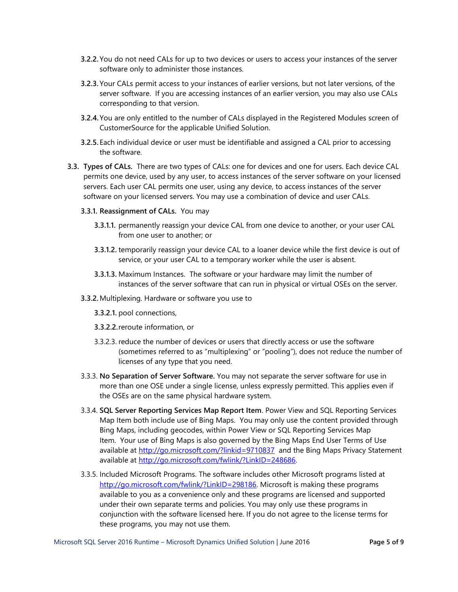- **3.2.2.** You do not need CALs for up to two devices or users to access your instances of the server software only to administer those instances.
- **3.2.3.** Your CALs permit access to your instances of earlier versions, but not later versions, of the server software. If you are accessing instances of an earlier version, you may also use CALs corresponding to that version.
- **3.2.4.**You are only entitled to the number of CALs displayed in the Registered Modules screen of CustomerSource for the applicable Unified Solution.
- **3.2.5.** Each individual device or user must be identifiable and assigned a CAL prior to accessing the software.
- **3.3. Types of CALs.** There are two types of CALs: one for devices and one for users. Each device CAL permits one device, used by any user, to access instances of the server software on your licensed servers. Each user CAL permits one user, using any device, to access instances of the server software on your licensed servers. You may use a combination of device and user CALs.
	- **3.3.1. Reassignment of CALs.** You may
		- **3.3.1.1.** permanently reassign your device CAL from one device to another, or your user CAL from one user to another; or
		- **3.3.1.2.** temporarily reassign your device CAL to a loaner device while the first device is out of service, or your user CAL to a temporary worker while the user is absent.
		- **3.3.1.3.** Maximum Instances. The software or your hardware may limit the number of instances of the server software that can run in physical or virtual OSEs on the server.
	- **3.3.2.**Multiplexing. Hardware or software you use to
		- **3.3.2.1.** pool connections,
		- **3.3.2.2.**reroute information, or
		- 3.3.2.3. reduce the number of devices or users that directly access or use the software (sometimes referred to as "multiplexing" or "pooling"), does not reduce the number of licenses of any type that you need.
	- 3.3.3. **No Separation of Server Software.** You may not separate the server software for use in more than one OSE under a single license, unless expressly permitted. This applies even if the OSEs are on the same physical hardware system.
	- 3.3.4. **SQL Server Reporting Services Map Report Item**. Power View and SQL Reporting Services Map Item both include use of Bing Maps. You may only use the content provided through Bing Maps, including geocodes, within Power View or SQL Reporting Services Map Item. Your use of Bing Maps is also governed by the Bing Maps End User Terms of Use available at<http://go.microsoft.com/?linkid=9710837> and the Bing Maps Privacy Statement available at [http://go.microsoft.com/fwlink/?LinkID=248686.](http://go.microsoft.com/fwlink/?LinkID=248686)
	- 3.3.5. Included Microsoft Programs. The software includes other Microsoft programs listed at http://go.microsoft.com/fwlink/?LinkID=298186</u>. Microsoft is making these programs available to you as a convenience only and these programs are licensed and supported under their own separate terms and policies. You may only use these programs in conjunction with the software licensed here. If you do not agree to the license terms for these programs, you may not use them.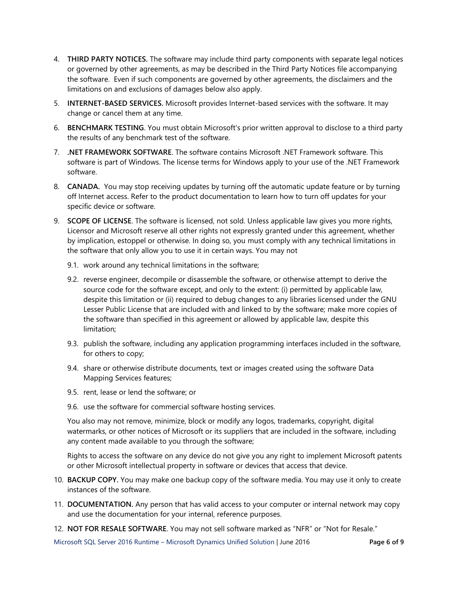- 4. **THIRD PARTY NOTICES.** The software may include third party components with separate legal notices or governed by other agreements, as may be described in the Third Party Notices file accompanying the software. Even if such components are governed by other agreements, the disclaimers and the limitations on and exclusions of damages below also apply.
- 5. **INTERNET-BASED SERVICES.** Microsoft provides Internet-based services with the software. It may change or cancel them at any time.
- 6. **BENCHMARK TESTING**. You must obtain Microsoft's prior written approval to disclose to a third party the results of any benchmark test of the software.
- 7. **.NET FRAMEWORK SOFTWARE**. The software contains Microsoft .NET Framework software. This software is part of Windows. The license terms for Windows apply to your use of the .NET Framework software.
- 8. **CANADA.** You may stop receiving updates by turning off the automatic update feature or by turning off Internet access. Refer to the product documentation to learn how to turn off updates for your specific device or software.
- 9. **SCOPE OF LICENSE**. The software is licensed, not sold. Unless applicable law gives you more rights, Licensor and Microsoft reserve all other rights not expressly granted under this agreement, whether by implication, estoppel or otherwise. In doing so, you must comply with any technical limitations in the software that only allow you to use it in certain ways. You may not
	- 9.1. work around any technical limitations in the software;
	- 9.2. reverse engineer, decompile or disassemble the software, or otherwise attempt to derive the source code for the software except, and only to the extent: (i) permitted by applicable law, despite this limitation or (ii) required to debug changes to any libraries licensed under the GNU Lesser Public License that are included with and linked to by the software; make more copies of the software than specified in this agreement or allowed by applicable law, despite this limitation;
	- 9.3. publish the software, including any application programming interfaces included in the software, for others to copy;
	- 9.4. share or otherwise distribute documents, text or images created using the software Data Mapping Services features;
	- 9.5. rent, lease or lend the software; or
	- 9.6. use the software for commercial software hosting services.

You also may not remove, minimize, block or modify any logos, trademarks, copyright, digital watermarks, or other notices of Microsoft or its suppliers that are included in the software, including any content made available to you through the software;

Rights to access the software on any device do not give you any right to implement Microsoft patents or other Microsoft intellectual property in software or devices that access that device.

- 10. **BACKUP COPY.** You may make one backup copy of the software media. You may use it only to create instances of the software.
- 11. **DOCUMENTATION.** Any person that has valid access to your computer or internal network may copy and use the documentation for your internal, reference purposes.
- 12. **NOT FOR RESALE SOFTWARE**. You may not sell software marked as "NFR" or "Not for Resale."

Microsoft SQL Server 2016 Runtime – Microsoft Dynamics Unified Solution | June 2016 **Page 6 of 9**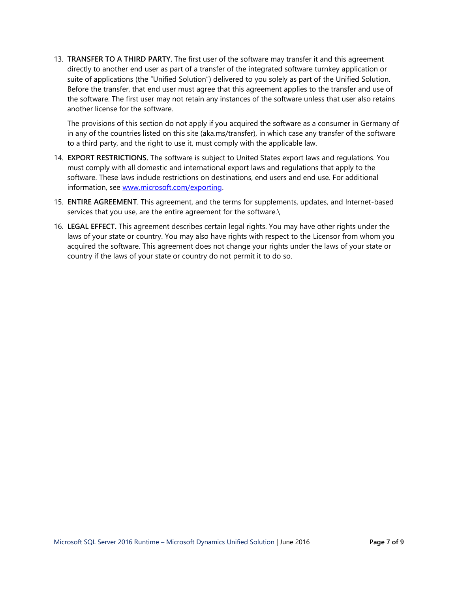13. **TRANSFER TO A THIRD PARTY.** The first user of the software may transfer it and this agreement directly to another end user as part of a transfer of the integrated software turnkey application or suite of applications (the "Unified Solution") delivered to you solely as part of the Unified Solution. Before the transfer, that end user must agree that this agreement applies to the transfer and use of the software. The first user may not retain any instances of the software unless that user also retains another license for the software.

The provisions of this section do not apply if you acquired the software as a consumer in Germany of in any of the countries listed on this site (aka.ms/transfer), in which case any transfer of the software to a third party, and the right to use it, must comply with the applicable law.

- 14. **EXPORT RESTRICTIONS.** The software is subject to United States export laws and regulations. You must comply with all domestic and international export laws and regulations that apply to the software. These laws include restrictions on destinations, end users and end use. For additional information, see [www.microsoft.com/exporting.](http://www.microsoft.com/exporting)
- 15. **ENTIRE AGREEMENT**. This agreement, and the terms for supplements, updates, and Internet-based services that you use, are the entire agreement for the software.\
- 16. **LEGAL EFFECT.** This agreement describes certain legal rights. You may have other rights under the laws of your state or country. You may also have rights with respect to the Licensor from whom you acquired the software. This agreement does not change your rights under the laws of your state or country if the laws of your state or country do not permit it to do so.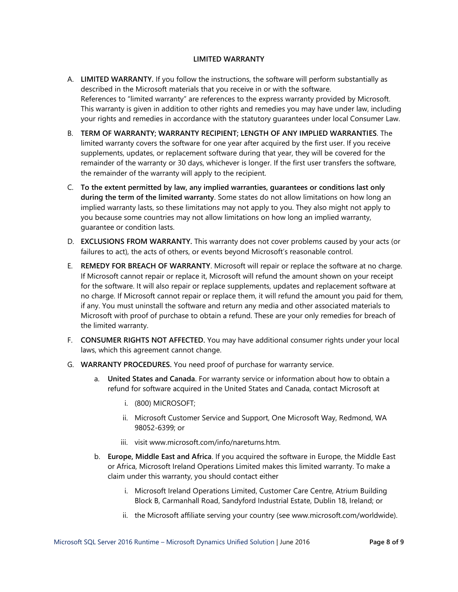### **LIMITED WARRANTY**

- A. **LIMITED WARRANTY.** If you follow the instructions, the software will perform substantially as described in the Microsoft materials that you receive in or with the software. References to "limited warranty" are references to the express warranty provided by Microsoft. This warranty is given in addition to other rights and remedies you may have under law, including your rights and remedies in accordance with the statutory guarantees under local Consumer Law.
- B. **TERM OF WARRANTY; WARRANTY RECIPIENT; LENGTH OF ANY IMPLIED WARRANTIES**. The limited warranty covers the software for one year after acquired by the first user. If you receive supplements, updates, or replacement software during that year, they will be covered for the remainder of the warranty or 30 days, whichever is longer. If the first user transfers the software, the remainder of the warranty will apply to the recipient.
- C. **To the extent permitted by law, any implied warranties, guarantees or conditions last only during the term of the limited warranty**. Some states do not allow limitations on how long an implied warranty lasts, so these limitations may not apply to you. They also might not apply to you because some countries may not allow limitations on how long an implied warranty, guarantee or condition lasts.
- D. **EXCLUSIONS FROM WARRANTY.** This warranty does not cover problems caused by your acts (or failures to act), the acts of others, or events beyond Microsoft's reasonable control.
- E. **REMEDY FOR BREACH OF WARRANTY**. Microsoft will repair or replace the software at no charge. If Microsoft cannot repair or replace it, Microsoft will refund the amount shown on your receipt for the software. It will also repair or replace supplements, updates and replacement software at no charge. If Microsoft cannot repair or replace them, it will refund the amount you paid for them, if any. You must uninstall the software and return any media and other associated materials to Microsoft with proof of purchase to obtain a refund. These are your only remedies for breach of the limited warranty.
- F. **CONSUMER RIGHTS NOT AFFECTED.** You may have additional consumer rights under your local laws, which this agreement cannot change.
- G. **WARRANTY PROCEDURES.** You need proof of purchase for warranty service.
	- a. **United States and Canada**. For warranty service or information about how to obtain a refund for software acquired in the United States and Canada, contact Microsoft at
		- i. (800) MICROSOFT;
		- ii. Microsoft Customer Service and Support, One Microsoft Way, Redmond, WA 98052-6399; or
		- iii. visit www.microsoft.com/info/nareturns.htm.
	- b. **Europe, Middle East and Africa**. If you acquired the software in Europe, the Middle East or Africa, Microsoft Ireland Operations Limited makes this limited warranty. To make a claim under this warranty, you should contact either
		- i. Microsoft Ireland Operations Limited, Customer Care Centre, Atrium Building Block B, Carmanhall Road, Sandyford Industrial Estate, Dublin 18, Ireland; or
		- ii. the Microsoft affiliate serving your country (see www.microsoft.com/worldwide).